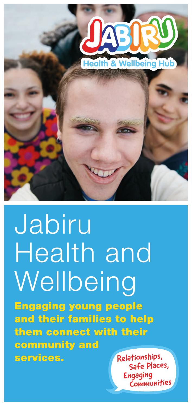

# Jabiru Health and **Wellbeing**

Engaging young people and their families to help them connect with their community and services. Relationships,

Engaging Communities Safe Places,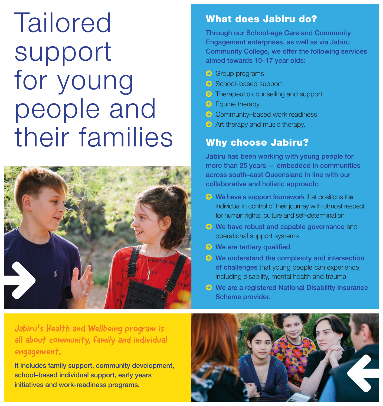# Tailored support for young people and their families



### What does Jabiru do?

Through our School-age Care and Community Engagement enterprises, as well as via Jabiru Community College, we offer the following services aimed towards 10–17 year olds:

- © Group programs
- © School–based support
- © Therapeutic counselling and support
- © Equine therapy
- © Community–based work readiness
- © Art therapy and music therapy.

### Why choose Jabiru?

Jabiru has been working with young people for more than 25 years — embedded in communities across south–east Queensland in line with our collaborative and holistic approach:

- © We have a support framework that positions the individual in control of their journey with utmost respect for human rights, culture and self-determination
- © We have robust and capable governance and operational support systems
- © We are tertiary qualified
- © We understand the complexity and intersection of challenges that young people can experience, including disability, mental health and trauma
- © We are a registered National Disability Insurance Scheme provider.

Jabiru's Health and Wellbeing program is all about community, family and individual engagement.

It includes family support, community development, school–based individual support, early years initiatives and work-readiness programs.